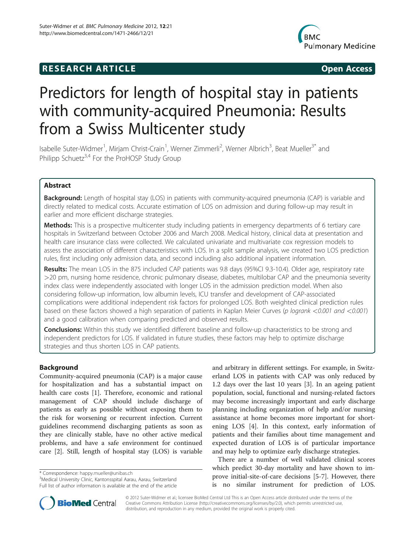# **RESEARCH ARTICLE Example 2014 CONSIDERING CONSIDERING CONSIDERING CONSIDERING CONSIDERING CONSIDERING CONSIDERING CONSIDERING CONSIDERING CONSIDERING CONSIDERING CONSIDERING CONSIDERING CONSIDERING CONSIDERING CONSIDE**



# Predictors for length of hospital stay in patients with community-acquired Pneumonia: Results from a Swiss Multicenter study

Isabelle Suter-Widmer<sup>1</sup>, Mirjam Christ-Crain<sup>1</sup>, Werner Zimmerli<sup>2</sup>, Werner Albrich<sup>3</sup>, Beat Mueller<sup>3\*</sup> and Philipp Schuetz<sup>3,4</sup> For the ProHOSP Study Group

# Abstract

Background: Length of hospital stay (LOS) in patients with community-acquired pneumonia (CAP) is variable and directly related to medical costs. Accurate estimation of LOS on admission and during follow-up may result in earlier and more efficient discharge strategies.

Methods: This is a prospective multicenter study including patients in emergency departments of 6 tertiary care hospitals in Switzerland between October 2006 and March 2008. Medical history, clinical data at presentation and health care insurance class were collected. We calculated univariate and multivariate cox regression models to assess the association of different characteristics with LOS. In a split sample analysis, we created two LOS prediction rules, first including only admission data, and second including also additional inpatient information.

Results: The mean LOS in the 875 included CAP patients was 9.8 days (95%CI 9.3-10.4). Older age, respiratory rate >20 pm, nursing home residence, chronic pulmonary disease, diabetes, multilobar CAP and the pneumonia severity index class were independently associated with longer LOS in the admission prediction model. When also considering follow-up information, low albumin levels, ICU transfer and development of CAP-associated complications were additional independent risk factors for prolonged LOS. Both weighted clinical prediction rules based on these factors showed a high separation of patients in Kaplan Meier Curves (p logrank <0.001 and <0.001) and a good calibration when comparing predicted and observed results.

**Conclusions:** Within this study we identified different baseline and follow-up characteristics to be strong and independent predictors for LOS. If validated in future studies, these factors may help to optimize discharge strategies and thus shorten LOS in CAP patients.

# Background

Community-acquired pneumonia (CAP) is a major cause for hospitalization and has a substantial impact on health care costs [[1\]](#page-7-0). Therefore, economic and rational management of CAP should include discharge of patients as early as possible without exposing them to the risk for worsening or recurrent infection. Current guidelines recommend discharging patients as soon as they are clinically stable, have no other active medical problems, and have a safe environment for continued care [\[2](#page-7-0)]. Still, length of hospital stay (LOS) is variable

\* Correspondence: [happy.mueller@unibas.ch](mailto:happy.mueller@unibas.ch) <sup>3</sup>

<sup>3</sup>Medical University Clinic, Kantonsspital Aarau, Aarau, Switzerland Full list of author information is available at the end of the article and arbitrary in different settings. For example, in Switzerland LOS in patients with CAP was only reduced by 1.2 days over the last 10 years [[3\]](#page-7-0). In an ageing patient population, social, functional and nursing-related factors may become increasingly important and early discharge planning including organization of help and/or nursing assistance at home becomes more important for shortening LOS [[4](#page-7-0)]. In this context, early information of patients and their families about time management and expected duration of LOS is of particular importance and may help to optimize early discharge strategies.

There are a number of well validated clinical scores which predict 30-day mortality and have shown to improve initial-site-of-care decisions [[5-7](#page-7-0)]. However, there is no similar instrument for prediction of LOS.



© 2012 Suter-Widmer et al.; licensee BioMed Central Ltd This is an Open Access article distributed under the terms of the Creative Commons Attribution License (<http://creativecommons.org/licenses/by/2.0>), which permits unrestricted use, distribution, and reproduction in any medium, provided the original work is properly cited.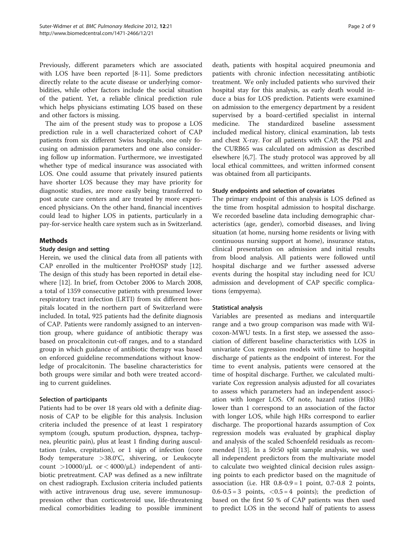Previously, different parameters which are associated with LOS have been reported [\[8](#page-7-0)-[11\]](#page-7-0). Some predictors directly relate to the acute disease or underlying comorbidities, while other factors include the social situation of the patient. Yet, a reliable clinical prediction rule which helps physicians estimating LOS based on these and other factors is missing.

The aim of the present study was to propose a LOS prediction rule in a well characterized cohort of CAP patients from six different Swiss hospitals, one only focusing on admission parameters and one also considering follow up information. Furthermore, we investigated whether type of medical insurance was associated with LOS. One could assume that privately insured patients have shorter LOS because they may have priority for diagnostic studies, are more easily being transferred to post acute care centers and are treated by more experienced physicians. On the other hand, financial incentives could lead to higher LOS in patients, particularly in a pay-for-service health care system such as in Switzerland.

# Methods

#### Study design and setting

Herein, we used the clinical data from all patients with CAP enrolled in the multicenter ProHOSP study [\[12](#page-7-0)]. The design of this study has been reported in detail elsewhere [[12\]](#page-7-0). In brief, from October 2006 to March 2008, a total of 1359 consecutive patients with presumed lower respiratory tract infection (LRTI) from six different hospitals located in the northern part of Switzerland were included. In total, 925 patients had the definite diagnosis of CAP. Patients were randomly assigned to an intervention group, where guidance of antibiotic therapy was based on procalcitonin cut-off ranges, and to a standard group in which guidance of antibiotic therapy was based on enforced guideline recommendations without knowledge of procalcitonin. The baseline characteristics for both groups were similar and both were treated according to current guidelines.

# Selection of participants

Patients had to be over 18 years old with a definite diagnosis of CAP to be eligible for this analysis. Inclusion criteria included the presence of at least 1 respiratory symptom (cough, sputum production, dyspnea, tachypnea, pleuritic pain), plus at least 1 finding during auscultation (rales, crepitation), or 1 sign of infection (core Body temperature >38.0°C, shivering, or Leukocyte count  $>$ 10000/ $\mu$ L or < 4000/ $\mu$ L) independent of antibiotic pretreatment. CAP was defined as a new infiltrate on chest radiograph. Exclusion criteria included patients with active intravenous drug use, severe immunosuppression other than corticosteroid use, life-threatening medical comorbidities leading to possible imminent death, patients with hospital acquired pneumonia and patients with chronic infection necessitating antibiotic treatment. We only included patients who survived their hospital stay for this analysis, as early death would induce a bias for LOS prediction. Patients were examined on admission to the emergency department by a resident supervised by a board-certified specialist in internal medicine. The standardized baseline assessment included medical history, clinical examination, lab tests and chest X-ray. For all patients with CAP, the PSI and the CURB65 was calculated on admission as described elsewhere [\[6,7](#page-7-0)]. The study protocol was approved by all local ethical committees, and written informed consent was obtained from all participants.

#### Study endpoints and selection of covariates

The primary endpoint of this analysis is LOS defined as the time from hospital admission to hospital discharge. We recorded baseline data including demographic characteristics (age, gender), comorbid diseases, and living situation (at home, nursing home residents or living with continuous nursing support at home), insurance status, clinical presentation on admission and initial results from blood analysis. All patients were followed until hospital discharge and we further assessed adverse events during the hospital stay including need for ICU admission and development of CAP specific complications (empyema).

#### Statistical analysis

Variables are presented as medians and interquartile range and a two group comparison was made with Wilcoxon-MWU tests. In a first step, we assessed the association of different baseline characteristics with LOS in univariate Cox regression models with time to hospital discharge of patients as the endpoint of interest. For the time to event analysis, patients were censored at the time of hospital discharge. Further, we calculated multivariate Cox regression analysis adjusted for all covariates to assess which parameters had an independent association with longer LOS. Of note, hazard ratios (HRs) lower than 1 correspond to an association of the factor with longer LOS, while high HRs correspond to earlier discharge. The proportional hazards assumption of Cox regression models was evaluated by graphical display and analysis of the scaled Schoenfeld residuals as recommended [[13\]](#page-7-0). In a 50:50 split sample analysis, we used all independent predictors from the multivariate model to calculate two weighted clinical decision rules assigning points to each predictor based on the magnitude of association (i.e. HR  $0.8 - 0.9 = 1$  point, 0.7-0.8 2 points,  $0.6-0.5 = 3$  points,  $\langle 0.5 = 4$  points); the prediction of based on the first 50 % of CAP patients was then used to predict LOS in the second half of patients to assess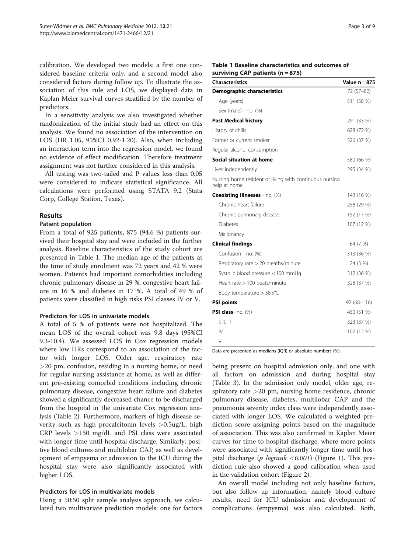calibration. We developed two models: a first one considered baseline criteria only, and a second model also considered factors during follow up. To illustrate the association of this rule and LOS, we displayed data in Kaplan Meier survival curves stratified by the number of predictors.

In a sensitivity analysis we also investigated whether randomization of the initial study had an effect on this analysis. We found no association of the intervention on LOS (HR 1.05, 95%CI 0.92-1.20). Also, when including an interaction term into the regression model, we found no evidence of effect modification. Therefore treatment assignment was not further considered in this analysis.

All testing was two-tailed and P values less than 0.05 were considered to indicate statistical significance. All calculations were performed using STATA 9.2 (Stata Corp, College Station, Texas).

# Results

# Patient population

From a total of 925 patients, 875 (94.6 %) patients survived their hospital stay and were included in the further analysis. Baseline characteristics of the study cohort are presented in Table 1. The median age of the patients at the time of study enrolment was 72 years and 42 % were women. Patients had important comorbidities including chronic pulmonary disease in 29 %, congestive heart failure in 16 % and diabetes in 17 %. A total of 49 % of patients were classified in high risks PSI classes IV or V.

# Predictors for LOS in univariate models

A total of 5 % of patients were not hospitalized. The mean LOS of the overall cohort was 9.8 days (95%CI 9.3-10.4). We assessed LOS in Cox regression models where low HRs correspond to an association of the factor with longer LOS. Older age, respiratory rate >20 pm, confusion, residing in a nursing home, or need for regular nursing assistance at home, as well as different pre-existing comorbid conditions including chronic pulmonary disease, congestive heart failure and diabetes showed a significantly decreased chance to be discharged from the hospital in the univariate Cox regression analysis (Table [2\)](#page-3-0). Furthermore, markers of high disease severity such as high procalcitonin levels  $>0.5$ ug/L, high CRP levels >150 mg/dL and PSI class were associated with longer time until hospital discharge. Similarly, positive blood cultures and multilobar CAP, as well as development of empyema or admission to the ICU during the hospital stay were also significantly associated with higher LOS.

# Predictors for LOS in multivariate models

Using a 50:50 split sample analysis approach, we calculated two multivariate prediction models: one for factors

# Table 1 Baseline characteristics and outcomes of surviving CAP patients (n = 875)

| <b>Characteristics</b>                                                  | Value $n = 875$ |
|-------------------------------------------------------------------------|-----------------|
| Demographic characteristics                                             | 72 (57-82)      |
| Age (years)                                                             | 511 (58 %)      |
| Sex (male) - no. (%)                                                    |                 |
| <b>Past Medical history</b>                                             | 291 (33 %)      |
| History of chills                                                       | 628 (72 %)      |
| Former or current smoker                                                | 326 (37 %)      |
| Regular alcohol consumption                                             |                 |
| Social situation at home                                                | 580 (66 %)      |
| Lives independently                                                     | 295 (34 %)      |
| Nursing home resident or living with continuous nursing<br>help at home |                 |
| Coexisting illnesses - no. (%)                                          | 143 (16 %)      |
| Chronic heart failure                                                   | 258 (29 %)      |
| Chronic pulmonary disease                                               | 152 (17 %)      |
| Diabetes                                                                | 107 (12 %)      |
| Malignancy                                                              |                 |
| <b>Clinical findings</b>                                                | 64 (7 %)        |
| Confusion - no. (%)                                                     | 313 (36 %)      |
| Respiratory rate > 20 breaths/minute                                    | 24 (3 %)        |
| Systolic blood pressure <100 mmHg                                       | 312 (36 %)      |
| Heart rate > 100 beats/minute                                           | 328 (37 %)      |
| Body temperature > 38.5°C                                               |                 |
| <b>PSI points</b>                                                       | $92(68 - 116)$  |
| PSI class- no. (%)                                                      | 450 (51 %)      |
| I, II, III                                                              | 323 (37 %)      |
| IV                                                                      | 102 (12 %)      |
| V                                                                       |                 |

Data are presented as medians (IQR) or absolute numbers (%).

being present on hospital admission only, and one with all factors on admission and during hospital stay (Table [3\)](#page-4-0). In the admission only model, older age, respiratory rate >20 pm, nursing home residence, chronic pulmonary disease, diabetes, multilobar CAP and the pneumonia severity index class were independently associated with longer LOS. We calculated a weighted prediction score assigning points based on the magnitude of association. This was also confirmed in Kaplan Meier curves for time to hospital discharge, where more points were associated with significantly longer time until hospital discharge (*p logrank*  $\langle 0.001 \rangle$  (Figure [1](#page-5-0)). This prediction rule also showed a good calibration when used in the validation cohort (Figure [2\)](#page-6-0).

An overall model including not only baseline factors, but also follow up information, namely blood culture results, need for ICU admission and development of complications (empyema) was also calculated. Both,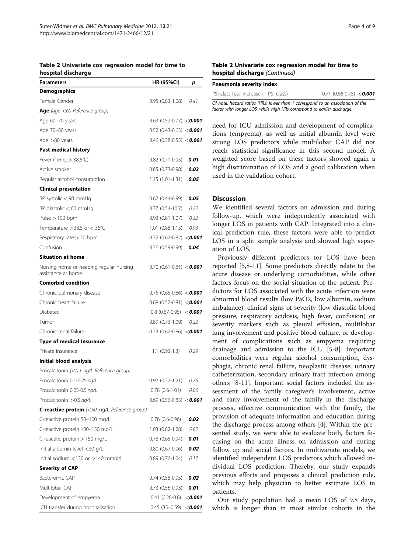## <span id="page-3-0"></span>Table 2 Univariate cox regression model for time to hospital discharge

| ۔ ۔                                                                                  |                                   |                |
|--------------------------------------------------------------------------------------|-----------------------------------|----------------|
| <b>Parameters</b>                                                                    | <b>HR (95%CI)</b>                 | р              |
| <b>Demographics</b>                                                                  |                                   |                |
| Female Gender                                                                        | $0.95(0.83-1.08)$                 | 0.41           |
| <b>Age</b> (age $<$ 60 Reference group)                                              |                                   |                |
| Age 60-70 years                                                                      | $0.63$ (0.52-0.77) < <b>0.001</b> |                |
| Age 70-80 years                                                                      | $0.52(0.43-0.63) < 0.001$         |                |
| Age $>80$ years                                                                      | 0.46 (0.38-0.55) < <b>0.001</b>   |                |
| Past medical history                                                                 |                                   |                |
| Fever (Temp > 38.5°C)                                                                | $0.82$ (0.71-0.95)                | 0.01           |
| Active smoker                                                                        | $0.85(0.73-0.98)$                 | 0.03           |
| Regular alcohol consumption                                                          | $1.15(1.01-1.31)$                 | 0.05           |
| <b>Clinical presentation</b>                                                         |                                   |                |
| BP systolic $<$ 90 mmHg                                                              | $0.67(0.44-0.99)$                 | 0.05           |
| BP diastolic $<$ 60 mmHg                                                             | $0.77(0.54-10.7)$                 | 0.22           |
| $Pulse > 100$ bpm                                                                    | $0.93(0.81-1.07)$                 | 0.32           |
| Temperature $>$ 38.5 or $<$ 36°C                                                     | $1.01(0.88-1.15)$                 | 0.93           |
| Respiratory rate $>$ 20 bpm                                                          | $0.72$ (0.62-0.82) < <b>0.001</b> |                |
| Confusion                                                                            | $0.76(0.59-0.99)$                 | 0.04           |
| <b>Situation at home</b>                                                             |                                   |                |
| Nursing home or needing regular nursing<br>assistance at home                        | $0.70(0.61-0.81) < 0.001$         |                |
| <b>Comorbid condition</b>                                                            |                                   |                |
| Chronic pulmonary disease                                                            | $0.75(0.65-0.86) < 0.001$         |                |
| Chronic heart failure                                                                | $0.68$ (0.57-0.81) < <b>0.001</b> |                |
| <b>Diabetes</b>                                                                      | $0.8(0.67-0.95) < 0.001$          |                |
| Tumor                                                                                | $0.89(0.73-1.09)$                 | 0.22           |
| Chronic renal failure                                                                | $0.73$ (0.62-0.86) < <b>0.001</b> |                |
| <b>Type of medical Insurance</b>                                                     |                                   |                |
| Private insurance                                                                    | $1.1(0.93-1.3)$                   | 0.29           |
| Initial blood analysis                                                               |                                   |                |
| Procalcitonin $\left\langle \langle 0.1 \rangle nq/L \right\rangle$ Reference group) |                                   |                |
| Procalcitonin 0.1-0.25 ng/L                                                          | $0.97(0.77-1.21)$                 | 0.76           |
| Procalcitonin 0.25-0.5 ng/L                                                          | $0.78(0.6-1.01)$                  | 0.06           |
| Procalcitonin > 0.5 ng/L                                                             | $0.69(0.56-0.85) < 0.001$         |                |
| C-reactive protein (<50 mg/L Reference group)                                        |                                   |                |
| C-reactive protein 50-100 mg/L                                                       | $0.76(0.6-0.96)$                  | 0.02           |
| C-reactive protein 100-150 mg/L                                                      | 1.03 (0.82-1.28)                  | 0.82           |
| C-reactive protein > 150 mg/L                                                        | $0.78(0.65-0.94)$                 | 0.01           |
| Initial albumin level <30 g/L                                                        | $0.80(0.67-0.96)$                 | 0.02           |
| Initial sodium $<$ 130 or $>$ 140 mmol/L                                             | $0.89(0.76-1.04)$                 | 0.17           |
| <b>Severity of CAP</b>                                                               |                                   |                |
| Bacteremic CAP                                                                       | $0.74(0.58-0.95)$                 | 0.02           |
| Multilobar CAP                                                                       | $0.73$ $(0.56 - 0.93)$            | 0.01           |
| Development of empyema                                                               | $0.41(0.28-0.6)$                  | $<$ 0.001 $\,$ |
| ICU transfer during hospitalisation                                                  | $0.45(35-0.59)$                   | $<$ 0.001      |

# Table 2 Univariate cox regression model for time to hospital discharge (Continued)

### Pneumonia severity index

| Of note, hazard ratios (HRs) lower than 1 correspond to an association of the<br>factor with longer LOS, while high HRs correspond to earlier discharge. |                             |  |  |  |  |
|----------------------------------------------------------------------------------------------------------------------------------------------------------|-----------------------------|--|--|--|--|
| PSI class (per increase in PSI class)                                                                                                                    | $0.71(0.66 - 0.75) < 0.001$ |  |  |  |  |

need for ICU admission and development of complications (empyema), as well as initial albumin level were strong LOS predictors while multilobar CAP did not reach statistical significance in this second model. A weighted score based on these factors showed again a high discrimination of LOS and a good calibration when used in the validation cohort.

# **Discussion**

We identified several factors on admission and during follow-up, which were independently associated with longer LOS in patients with CAP. Integrated into a clinical prediction rule, these factors were able to predict LOS in a split sample analysis and showed high separation of LOS.

Previously different predictors for LOS have been reported [[5,8-11\]](#page-7-0). Some predictors directly relate to the acute disease or underlying comorbidities, while other factors focus on the social situation of the patient. Predictors for LOS associated with the acute infection were abnormal blood results (low PaO2, low albumin, sodium imbalance), clinical signs of severity (low diastolic blood pressure, respiratory acidosis, high fever, confusion) or severity markers such as pleural effusion, multilobar lung involvement and positive blood culture, or development of complications such as empyema requiring drainage and admission to the ICU [\[5](#page-7-0)-[8\]](#page-7-0). Important comorbidities were regular alcohol consumption, dysphagia, chronic renal failure, neoplastic disease, urinary catheterization, secondary urinary tract infection among others [[8-11\]](#page-7-0). Important social factors included the assessment of the family caregiver's involvement, active and early involvement of the family in the discharge process, effective communication with the family, the provision of adequate information and education during the discharge process among others [[4\]](#page-7-0). Within the presented study, we were able to evaluate both, factors focusing on the acute illness on admission and during follow up and social factors. In multivariate models, we identified independent LOS predictors which allowed individual LOS prediction. Thereby, our study expands previous efforts and proposes a clinical prediction rule, which may help physician to better estimate LOS in patients.

Our study population had a mean LOS of 9.8 days, which is longer than in most similar cohorts in the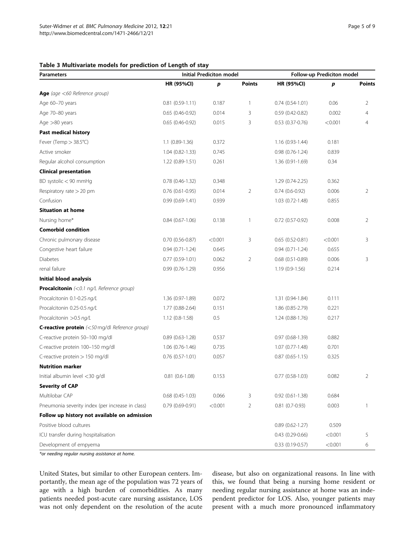<span id="page-4-0"></span>

|  |  |  |  | Table 3 Multivariate models for prediction of Length of stay |
|--|--|--|--|--------------------------------------------------------------|
|--|--|--|--|--------------------------------------------------------------|

| Parameters                                       | <b>Initial Prediciton model</b> |         |                | Follow-up Prediciton model |         |               |
|--------------------------------------------------|---------------------------------|---------|----------------|----------------------------|---------|---------------|
|                                                  | <b>HR (95%CI)</b>               | p       | <b>Points</b>  | HR (95%CI)                 | p       | <b>Points</b> |
| Age (age $<$ 60 Reference group)                 |                                 |         |                |                            |         |               |
| Age 60-70 years                                  | $0.81(0.59-1.11)$               | 0.187   | $\overline{1}$ | $0.74(0.54-1.01)$          | 0.06    | 2             |
| Age 70-80 years                                  | $0.65(0.46-0.92)$               | 0.014   | 3              | $0.59(0.42 - 0.82)$        | 0.002   | 4             |
| Age $>80$ years                                  | $0.65(0.46-0.92)$               | 0.015   | 3              | $0.53$ $(0.37 - 0.76)$     | < 0.001 | 4             |
| <b>Past medical history</b>                      |                                 |         |                |                            |         |               |
| Fever (Temp > 38.5°C)                            | $1.1$ (0.89-1.36)               | 0.372   |                | 1.16 (0.93-1.44)           | 0.181   |               |
| Active smoker                                    | $1.04(0.82 - 1.33)$             | 0.745   |                | $0.98(0.76-1.24)$          | 0.839   |               |
| Regular alcohol consumption                      | $1.22(0.89 - 1.51)$             | 0.261   |                | $1.36(0.91-1.69)$          | 0.34    |               |
| <b>Clinical presentation</b>                     |                                 |         |                |                            |         |               |
| BD systolic < 90 mmHg                            | $0.78$ $(0.46 - 1.32)$          | 0.348   |                | $1.29(0.74-2.25)$          | 0.362   |               |
| Respiratory rate $>$ 20 pm                       | $0.76$ (0.61-0.95)              | 0.014   | $\overline{2}$ | $0.74(0.6-0.92)$           | 0.006   | 2             |
| Confusion                                        | $0.99(0.69 - 1.41)$             | 0.939   |                | $1.03(0.72 - 1.48)$        | 0.855   |               |
| <b>Situation at home</b>                         |                                 |         |                |                            |         |               |
| Nursing home*                                    | $0.84(0.67-1.06)$               | 0.138   | 1              | $0.72$ $(0.57 - 0.92)$     | 0.008   | 2             |
| <b>Comorbid condition</b>                        |                                 |         |                |                            |         |               |
| Chronic pulmonary disease                        | $0.70(0.56-0.87)$               | < 0.001 | 3              | $0.65(0.52-0.81)$          | < 0.001 | 3             |
| Congestive heart failure                         | $0.94(0.71-1.24)$               | 0.645   |                | $0.94(0.71-1.24)$          | 0.655   |               |
| <b>Diabetes</b>                                  | $0.77(0.59-1.01)$               | 0.062   | 2              | $0.68$ $(0.51 - 0.89)$     | 0.006   | 3             |
| renal failure                                    | 0.99 (0.76-1.29)                | 0.956   |                | $1.19(0.9-1.56)$           | 0.214   |               |
| Initial blood analysis                           |                                 |         |                |                            |         |               |
| <b>Procalcitonin</b> (<0.1 ng/L Reference group) |                                 |         |                |                            |         |               |
| Procalcitonin 0.1-0.25 ng/L                      | 1.36 (0.97-1.89)                | 0.072   |                | 1.31 (0.94-1.84)           | 0.111   |               |
| Procalcitonin 0.25-0.5 ng/L                      | 1.77 (0.88-2.64)                | 0.151   |                | 1.86 (0.85-2.79)           | 0.221   |               |
| Procalcitonin > 0.5 ng/L                         | $1.12(0.8-1.58)$                | 0.5     |                | $1.24(0.88-1.76)$          | 0.217   |               |
| C-reactive protein (<50 mg/dl Reference group)   |                                 |         |                |                            |         |               |
| C-reactive protein 50-100 mg/dl                  | $0.89(0.63-1.28)$               | 0.537   |                | $0.97(0.68-1.39)$          | 0.882   |               |
| C-reactive protein 100-150 mg/dl                 | 1.06 (0.76-1.46)                | 0.735   |                | $1.07(0.77-1.48)$          | 0.701   |               |
| C-reactive protein $> 150$ mg/dl                 | $0.76$ $(0.57-1.01)$            | 0.057   |                | $0.87$ $(0.65 - 1.15)$     | 0.325   |               |
| <b>Nutrition marker</b>                          |                                 |         |                |                            |         |               |
| Initial albumin level <30 g/dl                   | $0.81$ (0.6-1.08)               | 0.153   |                | $0.77$ $(0.58-1.03)$       | 0.082   | 2             |
| <b>Severity of CAP</b>                           |                                 |         |                |                            |         |               |
| Multilobar CAP                                   | $0.68$ $(0.45 - 1.03)$          | 0.066   | 3              | $0.92$ $(0.61 - 1.38)$     | 0.684   |               |
| Pneumonia severity index (per increase in class) | $0.79(0.69 - 0.91)$             | < 0.001 | $\overline{2}$ | $0.81$ (0.7-0.93)          | 0.003   | 1             |
| Follow up history not available on admission     |                                 |         |                |                            |         |               |
| Positive blood cultures                          |                                 |         |                | $0.89(0.62 - 1.27)$        | 0.509   |               |
| ICU transfer during hospitalisation              |                                 |         |                | $0.43(0.29 - 0.66)$        | < 0.001 | 5             |
| Development of empyema                           |                                 |         |                | $0.33$ (0.19-0.57)         | < 0.001 | 6             |

\*or needing regular nursing assistance at home.

United States, but similar to other European centers. Importantly, the mean age of the population was 72 years of age with a high burden of comorbidities. As many patients needed post-acute care nursing assistance, LOS was not only dependent on the resolution of the acute

disease, but also on organizational reasons. In line with this, we found that being a nursing home resident or needing regular nursing assistance at home was an independent predictor for LOS. Also, younger patients may present with a much more pronounced inflammatory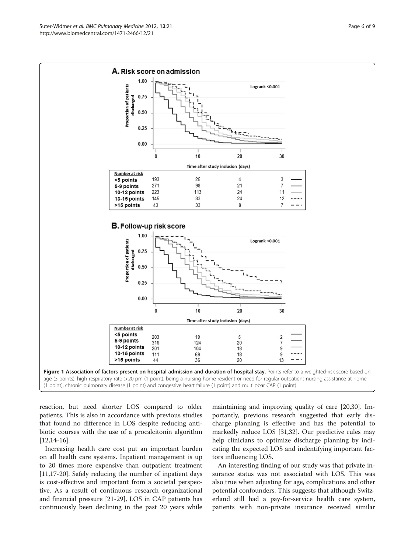<span id="page-5-0"></span>

reaction, but need shorter LOS compared to older patients. This is also in accordance with previous studies that found no difference in LOS despite reducing antibiotic courses with the use of a procalcitonin algorithm [[12,14-16\]](#page-7-0).

Increasing health care cost put an important burden on all health care systems. Inpatient management is up to 20 times more expensive than outpatient treatment [[11,](#page-7-0)[17-20\]](#page-8-0). Safely reducing the number of inpatient days is cost-effective and important from a societal perspective. As a result of continuous research organizational and financial pressure [[21-29](#page-8-0)], LOS in CAP patients has continuously been declining in the past 20 years while

maintaining and improving quality of care [\[20,30\]](#page-8-0). Importantly, previous research suggested that early discharge planning is effective and has the potential to markedly reduce LOS [[31](#page-8-0),[32\]](#page-8-0). Our predictive rules may help clinicians to optimize discharge planning by indicating the expected LOS and indentifying important factors influencing LOS.

An interesting finding of our study was that private insurance status was not associated with LOS. This was also true when adjusting for age, complications and other potential confounders. This suggests that although Switzerland still had a pay-for-service health care system, patients with non-private insurance received similar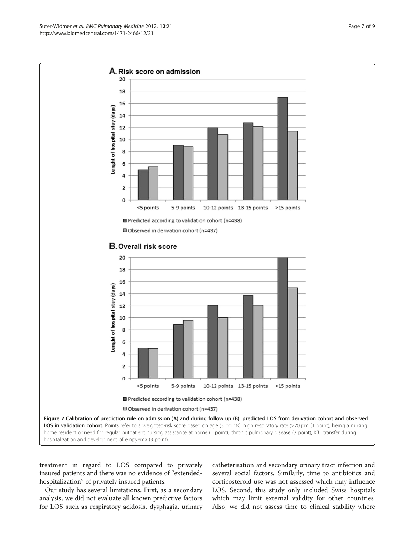<span id="page-6-0"></span>

treatment in regard to LOS compared to privately insured patients and there was no evidence of "extendedhospitalization" of privately insured patients.

Our study has several limitations. First, as a secondary analysis, we did not evaluate all known predictive factors for LOS such as respiratory acidosis, dysphagia, urinary catheterisation and secondary urinary tract infection and several social factors. Similarly, time to antibiotics and corticosteroid use was not assessed which may influence LOS. Second, this study only included Swiss hospitals which may limit external validity for other countries. Also, we did not assess time to clinical stability where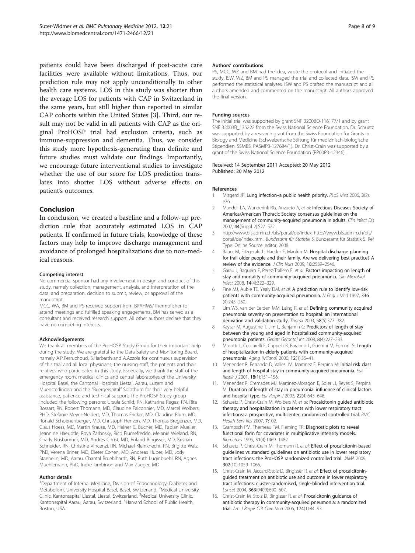<span id="page-7-0"></span>patients could have been discharged if post-acute care facilities were available without limitations. Thus, our prediction rule may not apply unconditionally to other health care systems. LOS in this study was shorter than the average LOS for patients with CAP in Switzerland in the same years, but still higher than reported in similar CAP cohorts within the United States [3]. Third, our result may not be valid in all patients with CAP as the original ProHOSP trial had exclusion criteria, such as immune-suppression and dementia. Thus, we consider this study more hypothesis-generating than definite and future studies must validate our findings. Importantly, we encourage future interventional studies to investigate whether the use of our score for LOS prediction translates into shorter LOS without adverse effects on patient's outcomes.

# Conclusion

In conclusion, we created a baseline and a follow-up prediction rule that accurately estimated LOS in CAP patients. If confirmed in future trials, knowledge of these factors may help to improve discharge management and avoidance of prolonged hospitalizations due to non-medical reasons.

#### Competing interest

No commercial sponsor had any involvement in design and conduct of this study, namely collection, management, analysis, and interpretation of the data; and preparation, decision to submit, review, or approval of the manuscript.

MCC, WA, BM and PS received support from BRAHMS/Thermofisher to attend meetings and fulfilled speaking engagements. BM has served as a consultant and received research support. All other authors declare that they have no competing interests.

#### Acknowledgements

We thank all members of the ProHOSP Study Group for their important help during the study. We are grateful to the Data Safety and Monitoring Board, namely A.P.Perruchoud, S.Harbarth and A.Azzola for continuous supervision of this trial and all local physicians, the nursing staff, the patients and their relatives who participated in this study. Especially, we thank the staff of the emergency room, medical clinics and central laboratories of the University Hospital Basel, the Cantonal Hospitals Liestal, Aarau, Luzern and Muensterlingen and the "Buergerspital" Solothurn for their very helpful assistance, patience and technical support. The ProHOSP Study group included the following persons: Ursula Schild, RN, Katharina Regez, RN, Rita Bossart, RN, Robert Thomann, MD, Claudine Falconnier, MD, Marcel Wolbers, PHD, Stefanie Meyer-Neidert, MD, Thomas Fricker, MD, Claudine Blum, MD, Ronald Schoenenberger, MD, Christoph Henzen, MD, Thomas Bregenzer, MD, Claus Hoess, MD, Martin Krause, MD, Heiner C. Bucher, MD, Fabian Mueller, Jeannine Haeuptle, Roya Zarbosky, Rico Fiumefreddo, Melanie Wieland, RN, Charly Nusbaumer, MD, Andres Christ, MD, Roland Bingisser, MD, Kristian Schneider, RN, Christine Vincenzi, RN, Michael Kleinknecht, RN, Brigitte Walz, PhD, Verena Briner, MD, Dieter Conen, MD, Andreas Huber, MD, Jody Staehelin, MD, Aarau, Chantal Bruehlhardt, RN, Ruth Luginbuehl, RN, Agnes Muehlemann, PhD, Ineke lambinon and Max Zueger, MD

#### Author details

<sup>1</sup>Department of Internal Medicine, Division of Endocrinology, Diabetes and Metabolism, University Hospital Basel, Basel, Switzerland. <sup>2</sup>Medical University Clinic, Kantonsspital Liestal, Liestal, Switzerland. <sup>3</sup>Medical University Clinic, Kantonsspital Aarau, Aarau, Switzerland. <sup>4</sup>Harvard School of Public Health, Boston, USA.

#### Authors' contributions

PS, MCC, WZ and BM had the idea, wrote the protocol and initiated the study. ISW, WZ, BM and PS managed the trial and collected data. ISW and PS performed the statistical analyses. ISW and PS drafted the manuscript and all authors amended and commented on the manuscript. All authors approved the final version.

#### Funding sources

The initial trial was supported by grant SNF 3200BO-116177/1 and by grant SNF 32003B\_135222 from the Swiss National Science Foundation. Dr. Schuetz was supported by a research grant from the Swiss Foundation for Grants in Biology and Medicine (Schweizerische Stiftung für medizinisch-biologische Stipendien, SSMBS, PASMP3-127684/1). Dr. Christ-Crain was supported by a grant of the Swiss National Science Foundation (PP00P3-12346).

#### Received: 14 September 2011 Accepted: 20 May 2012 Published: 20 May 2012

#### References

- 1. Mizgerd JP: Lung infection-a public health priority. PLoS Med 2006, 3(2): e76.
- 2. Mandell LA, Wunderink RG, Anzueto A, et al: Infectious Diseases Society of America/American Thoracic Society consensus guidelines on the management of community-acquired pneumonia in adults. Clin Infect Dis 2007, 44(Suppl 2):S27–S72.
- 3. http://www.bfs.admin.ch/bfs/portal/de/index, http://www.bfs.admin.ch/bfs/ portal/de/index.html: Bundesamt für Statistik S, Bundesamt für Statistik S. Ref Type: Online Source: editor; 2008.
- 4. Bauer M, Fitzgerald L, Haesler E, Manfrin M: Hospital discharge planning for frail older people and their family. Are we delivering best practice? A review of the evidence. J Clin Nurs 2009, 18:2539–2546.
- 5. Garau J, Baquero F, Perez-Trallero E, et al: Factors impacting on length of stay and mortality of community-acquired pneumonia. Clin Microbiol Infect 2008, 14(4):322–329.
- 6. Fine MJ, Auble TE, Yealy DM, et al: A prediction rule to identify low-risk patients with community-acquired pneumonia. N Engl J Med 1997, 336 (4):243–250.
- 7. Lim WS, van der Eerden MM, Laing R, et al: Defining community acquired pneumonia severity on presentation to hospital: an international derivation and validation study. Thorax 2003, 58(5):377–382.
- 8. Kaysar M, Augustine T, Jim L, Benjamin C: Predictors of length of stay between the young and aged in hospitalized community-acquired pneumonia patients. Geriatr Gerontol Int 2008, 8(4):227–233.
- 9. Masotti L, Ceccarelli E, Cappelli R, Barabesi L, Guerrini M, Forconi S: Length of hospitalization in elderly patients with community-acquired pneumonia. Aging (Milano) 2000, 12(1):35–41.
- 10. Menendez R, Ferrando D, Valles JM, Martinez E, Perpina M: Initial risk class and length of hospital stay in community-acquired pneumonia. Eur Respir J 2001, 18(1):151–156.
- 11. Menendez R, Cremades MJ, Martinez-Moragon E, Soler JJ, Reyes S, Perpina M: Duration of length of stay in pneumonia: influence of clinical factors and hospital type. Eur Respir J 2003, 22(4):643-648.
- 12. Schuetz P, Christ-Crain M, Wolbers M, et al: Procalcitonin guided antibiotic therapy and hospitalization in patients with lower respiratory tract infections: a prospective, multicenter, randomized controlled trial. BMC Health Serv Res 2007, 7:102.
- 13. Grambsch PM, Therneau TM, Fleming TR: Diagnostic plots to reveal functional form for covariates in multiplicative intensity models. Biometrics 1995, 51(4):1469–1482.
- 14. Schuetz P, Christ-Crain M, Thomann R, et al: Effect of procalcitonin-based guidelines vs standard guidelines on antibiotic use in lower respiratory tract infections: the ProHOSP randomized controlled trial. JAMA 2009, 302(10):1059–1066.
- 15. Christ-Crain M, Jaccard-Stolz D, Bingisser R, et al: Effect of procalcitoninguided treatment on antibiotic use and outcome in lower respiratory tract infections: cluster-randomised, single-blinded intervention trial. Lancet 2004, 363(9409):600–607.
- 16. Christ-Crain M, Stolz D, Bingisser R, et al: Procalcitonin guidance of antibiotic therapy in community-acquired pneumonia: a randomized trial. Am J Respir Crit Care Med 2006, 174(1):84–93.